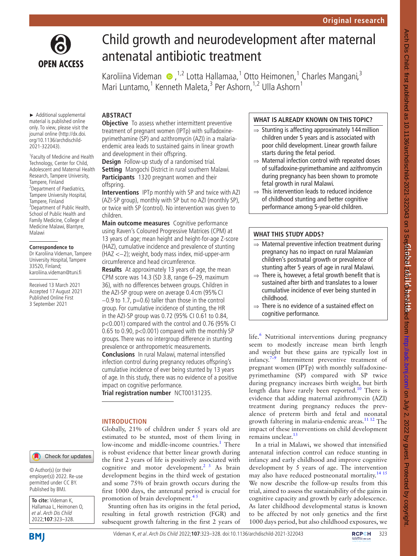

# Child growth and neurodevelopment after maternal antenatal antibiotic treatment

KaroliinaVideman (D, <sup>1,2</sup> Lotta Hallamaa, <sup>1</sup> Otto Heimonen, <sup>1</sup> Charles Mangani, <sup>3</sup> Mari Luntamo,<sup>1</sup> Kenneth Maleta,<sup>3</sup> Per Ashorn,<sup>1,2</sup> Ulla Ashorn<sup>1</sup>

► Additional supplemental material is published online only. To view, please visit the journal online ([http://dx.doi.](http://dx.doi.org/10.1136/archdischild-2021-322043) [org/10.1136/archdischild-](http://dx.doi.org/10.1136/archdischild-2021-322043)[2021-322043\)](http://dx.doi.org/10.1136/archdischild-2021-322043).

1 Faculty of Medicine and Health Technology, Center for Child, Adolescent and Maternal Health Research, Tampere University, Tampere, Finland 2 Department of Paediatrics, Tampere University Hospital, Tampere, Finland 3 Department of Public Health, School of Public Health and Family Medicine, College of Medicine Malawi, Blantyre, Malawi

## **Correspondence to**

Dr Karoliina Videman, Tampere University Hospital, Tampere 33520, Finland; karoliina.videman@tuni.fi

Received 13 March 2021 Accepted 17 August 2021 Published Online First 3 September 2021

# **ABSTRACT**

**Objective** To assess whether intermittent preventive treatment of pregnant women (IPTp) with sulfadoxinepyrimethamine (SP) and azithromycin (AZI) in a malariaendemic area leads to sustained gains in linear growth and development in their offspring.

**Design** Follow-up study of a randomised trial. **Setting** Mangochi District in rural southern Malawi. **Participants** 1320 pregnant women and their offspring.

**Interventions** IPTp monthly with SP and twice with AZI (AZI-SP group), monthly with SP but no AZI (monthly SP), or twice with SP (control). No intervention was given to children.

**Main outcome measures** Cognitive performance using Raven's Coloured Progressive Matrices (CPM) at 13 years of age; mean height and height-for-age Z-score (HAZ), cumulative incidence and prevalence of stunting (HAZ <−2); weight, body mass index, mid-upper-arm circumference and head circumference.

**Results** At approximately 13 years of age, the mean CPM score was 14.3 (SD 3.8, range 6–29, maximum 36), with no differences between groups. Children in the AZI-SP group were on average 0.4 cm (95%CI −0.9 to 1.7, p=0.6) taller than those in the control group. For cumulative incidence of stunting, the HR in the AZI-SP group was 0.72 (95% CI 0.61 to 0.84, p<0.001) compared with the control and 0.76 (95% CI 0.65 to 0.90, p<0.001) compared with the monthly SP groups. There was no intergroup difference in stunting prevalence or anthropometric measurements. **Conclusions** In rural Malawi, maternal intensified infection control during pregnancy reduces offspring's cumulative incidence of ever being stunted by 13 years of age. In this study, there was no evidence of a positive impact on cognitive performance.

**Trial registration number** <NCT00131235>.

promotion of brain development. $4<sup>5</sup>$ 

Globally, 21% of children under 5 years old are estimated to be stunted, most of them living in low-income and middle-income countries.<sup>[1](#page-5-0)</sup> There is robust evidence that better linear growth during the first 2 years of life is positively associated with cognitive and motor development.<sup>[2 3](#page-5-1)</sup> As brain development begins in the third week of gestation and some 75% of brain growth occurs during the first 1000 days, the antenatal period is crucial for

Stunting often has its origins in the fetal period, resulting in fetal growth restriction (FGR) and subsequent growth faltering in the first 2 years of

## **INTRODUCTION**

Check for updates

© Author(s) (or their employer(s)) 2022. Re-use permitted under CC BY. Published by BMJ.

**To cite:** Videman K, Hallamaa L, Heimonen O, et al. Arch Dis Child 2022;**107**:323–328.



# Videman K, et al. Arch Dis Child 2022;**107**:323–328. doi:10.1136/archdischild-2021-322043323

# **WHAT IS ALREADY KNOWN ON THIS TOPIC?**

- $\Rightarrow$  Stunting is affecting approximately 144 million children under 5 years and is associated with poor child development. Linear growth failure starts during the fetal period.
- ⇒ Maternal infection control with repeated doses of sulfadoxine-pyrimethamine and azithromycin during pregnancy has been shown to promote fetal growth in rural Malawi.
- $\Rightarrow$  This intervention leads to reduced incidence of childhood stunting and better cognitive performance among 5-year-old children.

## **WHAT THIS STUDY ADDS?**

- ⇒ Maternal preventive infection treatment during pregnancy has no impact on rural Malawian children's postnatal growth or prevalence of stunting after 5 years of age in rural Malawi.
- $\Rightarrow$  There is, however, a fetal growth benefit that is sustained after birth and translates to a lower cumulative incidence of ever being stunted in childhood.
- ⇒ There is no evidence of a sustained effect on cognitive performance.

life.<sup>6</sup> Nutritional interventions during pregnancy seem to modestly increase mean birth length and weight but these gains are typically lost in infancy.<sup>7-9</sup> Intermittent preventive treatment of pregnant women (IPTp) with monthly sulfadoxinepyrimethamine (SP) compared with SP twice during pregnancy increases birth weight, but birth length data have rarely been reported.<sup>10</sup> There is evidence that adding maternal azithromycin (AZI) treatment during pregnancy reduces the prevalence of preterm birth and fetal and neonatal growth faltering in malaria-endemic areas. $1112$  The impact of these interventions on child development remains unclear.<sup>[13](#page-5-7)</sup>

In a trial in Malawi, we showed that intensified antenatal infection control can reduce stunting in infancy and early childhood and improve cognitive development by 5 years of age. The intervention may also have reduced postneonatal mortality.<sup>[14 15](#page-5-8)</sup> We now describe the follow-up results from this trial, aimed to assess the sustainability of the gains in cognitive capacity and growth by early adolescence. As later childhood developmental status is known to be affected by not only genetics and the first 1000 days period, but also childhood exposures, we

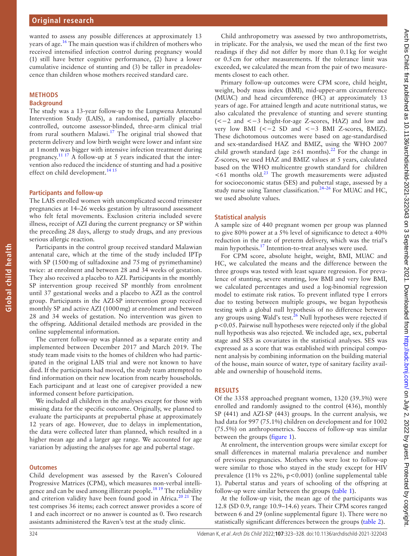wanted to assess any possible differences at approximately 13 years of age.[16](#page-5-9) The main question was if children of mothers who received intensified infection control during pregnancy would (1) still have better cognitive performance, (2) have a lower cumulative incidence of stunting and (3) be taller in preadolescence than children whose mothers received standard care.

## **METHODS**

## **Background**

**Global child health**

Global child health

The study was a 13-year follow-up to the Lungwena Antenatal Intervention Study (LAIS), a randomised, partially placebocontrolled, outcome assessor-blinded, three-arm clinical trial from rural southern Malawi.<sup>17</sup> The original trial showed that preterm delivery and low birth weight were lower and infant size at 1month was bigger with intensive infection treatment during pregnancy.<sup>11 17</sup> A follow-up at 5 years indicated that the intervention also reduced the incidence of stunting and had a positive effect on child development.<sup>[14 15](#page-5-8)</sup>

## **Participants and follow-up**

The LAIS enrolled women with uncomplicated second trimester pregnancies at 14–26 weeks gestation by ultrasound assessment who felt fetal movements. Exclusion criteria included severe illness, receipt of AZI during the current pregnancy or SP within the preceding 28 days, allergy to study drugs, and any previous serious allergic reaction.

Participants in the control group received standard Malawian antenatal care, which at the time of the study included IPTp with SP (1500mg of sulfadoxine and 75mg of pyrimethamine) twice: at enrolment and between 28 and 34 weeks of gestation. They also received a placebo to AZI. Participants in the monthly SP intervention group received SP monthly from enrolment until 37 gestational weeks and a placebo to AZI as the control group. Participants in the AZI-SP intervention group received monthly SP and active AZI (1000mg) at enrolment and between 28 and 34 weeks of gestation. No intervention was given to the offspring. Additional detailed methods are provided in the [online supplemental information.](https://dx.doi.org/10.1136/archdischild-2021-322043)

The current follow-up was planned as a separate entity and implemented between December 2017 and March 2019. The study team made visits to the homes of children who had participated in the original LAIS trial and were not known to have died. If the participants had moved, the study team attempted to find information on their new location from nearby households. Each participant and at least one of caregiver provided a new informed consent before participation.

We included all children in the analyses except for those with missing data for the specific outcome. Originally, we planned to evaluate the participants at prepubertal phase at approximately 12 years of age. However, due to delays in implementation, the data were collected later than planned, which resulted in a higher mean age and a larger age range. We accounted for age variation by adjusting the analyses for age and pubertal stage.

## **Outcomes**

Child development was assessed by the Raven's Coloured Progressive Matrices (CPM), which measures non-verbal intelligence and can be used among illiterate people.<sup>18 19</sup> The reliability and criterion validity have been found good in Africa.<sup>[20 21](#page-5-12)</sup> The test comprises 36 items; each correct answer provides a score of 1 and each incorrect or no answer is counted as 0. Two research assistants administered the Raven's test at the study clinic.

Child anthropometry was assessed by two anthropometrists, in triplicate. For the analysis, we used the mean of the first two readings if they did not differ by more than 0.1kg for weight or 0.5cm for other measurements. If the tolerance limit was exceeded, we calculated the mean from the pair of two measurements closest to each other.

Primary follow-up outcomes were CPM score, child height, weight, body mass index (BMI), mid-upper-arm circumference (MUAC) and head circumference (HC) at approximately 13 years of age. For attained length and acute nutritional status, we also calculated the prevalence of stunting and severe stunting (<−2 and <−3 height-for-age Z-scores, HAZ) and low and very low BMI (<−2 SD and <−3 BMI Z-scores, BMIZ). These dichotomous outcomes were based on age-standardised and sex-standardised HAZ and BMIZ, using the WHO 2007 child growth standard (age  $\geq 61$  months).<sup>[22](#page-5-13)</sup> For the change in Z-scores, we used HAZ and BMIZ values at 5 years, calculated based on the WHO multicentre growth standard for children  $<$  61 months old.<sup>[23](#page-5-14)</sup> The growth measurements were adjusted for socioeconomic status (SES) and pubertal stage, assessed by a study nurse using Tanner classification.<sup>24-26</sup> For MUAC and HC, we used absolute values.

## **Statistical analysis**

A sample size of 440 pregnant women per group was planned to give 80% power at a 5% level of significance to detect a 40% reduction in the rate of preterm delivery, which was the trial's main hypothesis.[17](#page-5-10) Intention-to-treat analyses were used.

For CPM score, absolute height, weight, BMI, MUAC and HC, we calculated the means and the difference between the three groups was tested with least square regression. For prevalence of stunting, severe stunting, low BMI and very low BMI, we calculated percentages and used a log-binomial regression model to estimate risk ratios. To prevent inflated type I errors due to testing between multiple groups, we began hypothesis testing with a global null hypothesis of no difference between any groups using Wald's test. $^{26}$  Null hypotheses were rejected if p<0.05. Pairwise null hypotheses were rejected only if the global null hypothesis was also rejected. We included age, sex, pubertal stage and SES as covariates in the statistical analyses. SES was expressed as a score that was established with principal component analysis by combining information on the building material of the house, main source of water, type of sanitary facility available and ownership of household items.

## **RESULTS**

Of the 3358 approached pregnant women, 1320 (39.3%) were enrolled and randomly assigned to the control (436), monthly SP (441) and AZI-SP (443) groups. In the current analysis, we had data for 997 (75.1%) children on development and for 1002 (75.5%) on anthropometrics. Success of follow-up was similar between the groups ([figure](#page-2-0) 1).

At enrolment, the intervention groups were similar except for small differences in maternal malaria prevalence and number of previous pregnancies. Mothers who were lost to follow-up were similar to those who stayed in the study except for HIV prevalence (11% vs 22%, p<0.001) [\(online supplemental table](https://dx.doi.org/10.1136/archdischild-2021-322043) [1\)](https://dx.doi.org/10.1136/archdischild-2021-322043). Pubertal status and years of schooling of the offspring at follow-up were similar between the groups [\(table](#page-2-1) 1).

At the follow-up visit, the mean age of the participants was 12.8 (SD 0.9, range 10.9–14.6) years. Their CPM scores ranged between 6 and 29 ([online supplemental figure 1\)](https://dx.doi.org/10.1136/archdischild-2021-322043). There were no statistically significant differences between the groups ([table](#page-3-0) 2).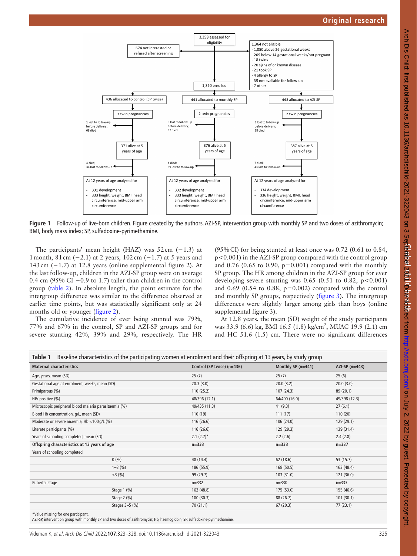

**Figure 1** Follow-up of live-born children. Figure created by the authors. AZI-SP, intervention group with monthly SP and two doses of azithromycin; BMI, body mass index; SP, sulfadoxine-pyrimethamine.

The participants' mean height (HAZ) was  $52 \text{ cm } (-1.3)$  at 1month, 81cm (−2.1) at 2 years, 102cm (−1.7) at 5 years and 143cm (−1.7) at 12.8 years ([online supplemental figure 2](https://dx.doi.org/10.1136/archdischild-2021-322043)). At the last follow-up, children in the AZI-SP group were on average 0.4 cm (95% CI −0.9 to 1.7) taller than children in the control group ([table](#page-3-0) 2). In absolute length, the point estimate for the intergroup difference was similar to the difference observed at earlier time points, but was statistically significant only at 24 months old or younger [\(figure](#page-3-1) 2).

The cumulative incidence of ever being stunted was 79%, 77% and 67% in the control, SP and AZI-SP groups and for severe stunting 42%, 39% and 29%, respectively. The HR

<span id="page-2-0"></span>(95%CI) for being stunted at least once was 0.72 (0.61 to 0.84, p<0.001) in the AZI-SP group compared with the control group and 0.76 (0.65 to 0.90,  $p=0.001$ ) compared with the monthly SP group. The HR among children in the AZI-SP group for ever developing severe stunting was  $0.65$  (0.51 to 0.82, p<0.001) and 0.69 (0.54 to 0.88, p=0.002) compared with the control and monthly SP groups, respectively ([figure](#page-4-0) 3). The intergroup differences were slightly larger among girls than boys [\(online](https://dx.doi.org/10.1136/archdischild-2021-322043) [supplemental figure 3](https://dx.doi.org/10.1136/archdischild-2021-322043)).

At 12.8 years, the mean (SD) weight of the study participants was 33.9 (6.6) kg, BMI 16.5 (1.8) kg/cm<sup>2</sup>, MUAC 19.9 (2.1) cm and HC 51.6 (1.5) cm. There were no significant differences

<span id="page-2-1"></span>

| Baseline characteristics of the participating women at enrolment and their offspring at 13 years, by study group<br>Table 1 |                  |                            |                    |                 |  |  |  |
|-----------------------------------------------------------------------------------------------------------------------------|------------------|----------------------------|--------------------|-----------------|--|--|--|
| <b>Maternal characteristics</b>                                                                                             |                  | Control (SP twice) (n=436) | Monthly SP (n=441) | $AZI-SP(n=443)$ |  |  |  |
| Age, years, mean (SD)                                                                                                       |                  | 25(7)                      | 25(7)              | 25(6)           |  |  |  |
| Gestational age at enrolment, weeks, mean (SD)                                                                              |                  | 20.3(3.0)                  | 20.0(3.2)          | 20.0(3.0)       |  |  |  |
| Primiparous (%)                                                                                                             |                  | 110(25.2)                  | 107 (24.3)         | 89 (20.1)       |  |  |  |
| HIV-positive (%)                                                                                                            |                  | 48/396 (12.1)              | 64/400 (16.0)      | 49/398 (12.3)   |  |  |  |
| Microscopic peripheral blood malaria parasitaemia (%)                                                                       |                  | 49/435 (11.3)              | 41(9.3)            | 27(6.1)         |  |  |  |
| Blood Hb concentration, g/L, mean (SD)                                                                                      |                  | 110 (19)                   | 111(17)            | 110(20)         |  |  |  |
| Moderate or severe anaemia, Hb <100 g/L (%)                                                                                 |                  | 116(26.6)                  | 106 (24.0)         | 129 (29.1)      |  |  |  |
| Literate participants (%)                                                                                                   |                  | 116(26.6)                  | 129 (29.3)         | 139 (31.4)      |  |  |  |
| Years of schooling completed, mean (SD)                                                                                     |                  | $2.1 (2.7)^*$              | 2.2(2.6)           | 2.4(2.8)        |  |  |  |
| Offspring characteristics at 13 years of age                                                                                |                  | $n = 333$                  | $n = 333$          | $n = 337$       |  |  |  |
| Years of schooling completed                                                                                                |                  |                            |                    |                 |  |  |  |
|                                                                                                                             | 0(% )            | 48 (14.4)                  | 62 (18.6)          | 53 (15.7)       |  |  |  |
|                                                                                                                             | $1 - 3$ (%)      | 186 (55.9)                 | 168 (50.5)         | 163 (48.4)      |  |  |  |
|                                                                                                                             | $>3$ (%)         | 99 (29.7)                  | 103(31.0)          | 121 (36.0)      |  |  |  |
| Pubertal stage                                                                                                              |                  | $n = 332$                  | $n = 330$          | $n = 333$       |  |  |  |
|                                                                                                                             | Stage $1$ $(\%)$ | 162 (48.8)                 | 175 (53.0)         | 155 (46.6)      |  |  |  |
|                                                                                                                             | Stage $2$ $(\%)$ | 100(30.3)                  | 88 (26.7)          | 101(30.1)       |  |  |  |
|                                                                                                                             | Stages $3-5$ (%) | 70(21.1)                   | 67(20.3)           | 77(23.1)        |  |  |  |
| *Value miccing for ano participant                                                                                          |                  |                            |                    |                 |  |  |  |

\*Value missing for one participant. AZI-SP, intervention group with monthly SP and two doses of azithromycin; Hb, haemoglobin; SP, sulfadoxine-pyrimethamine.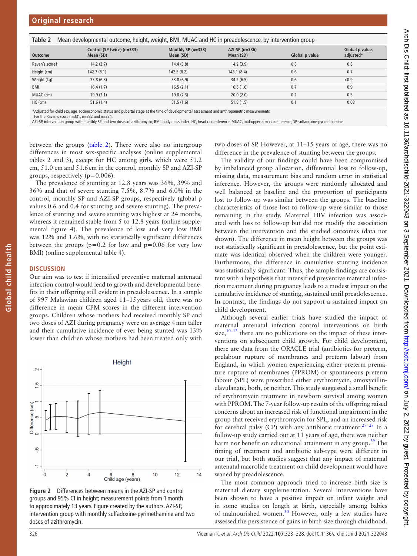| Taple 2<br>TWEE DEVELOPMENT OUTCOME, HEIGHT, WEIGHT, DIVIT, MOAC and TC In preadulescence, by intervention group |                                         |                                   |                              |                |                              |  |  |
|------------------------------------------------------------------------------------------------------------------|-----------------------------------------|-----------------------------------|------------------------------|----------------|------------------------------|--|--|
| Outcome                                                                                                          | Control (SP twice) (n=333)<br>Mean (SD) | Monthly SP $(n=333)$<br>Mean (SD) | $AZI-SP(n=336)$<br>Mean (SD) | Global p value | Global p value,<br>adjusted* |  |  |
| Raven's scoret                                                                                                   | 14.2(3.7)                               | 14.4(3.8)                         | 14.2(3.9)                    | 0.8            | 0.8                          |  |  |
| Height (cm)                                                                                                      | 142.7 (8.1)                             | 142.5(8.2)                        | 143.1(8.4)                   | 0.6            | 0.7                          |  |  |
| Weight (kg)                                                                                                      | 33.8(6.3)                               | 33.8(6.9)                         | 34.2(6.5)                    | 0.6            | >0.9                         |  |  |
| BMI                                                                                                              | 16.4(1.7)                               | 16.5(2.1)                         | 16.5(1.6)                    | 0.7            | 0.9                          |  |  |
| MUAC (cm)                                                                                                        | 19.9(2.1)                               | 19.8(2.3)                         | 20.0(2.0)                    | 0.2            | 0.5                          |  |  |
| $HC$ (cm)                                                                                                        | 51.6(1.4)                               | 51.5(1.6)                         | 51.8(1.5)                    | 0.1            | 0.08                         |  |  |

<span id="page-3-0"></span>**Table 2** Mean developmental outcome, height, weight, BMI, MUAC and HC in preadolescence, by intervention group

\*Adjusted for child sex, age, socioeconomic status and pubertal stage at the time of developmental assessment and anthropometric measurements.

†For the Raven's score n=331, n=332 and n=334.

AZI-SP, intervention group with monthly SP and two doses of azithromycin; BMI, body mass index; HC, head circumference; MUAC, mid-upper-arm circumference; SP, sulfadoxine-pyrimethamine

between the groups ([table](#page-3-0) 2). There were also no intergroup differences in most sex-specific analyses [\(online supplemental](https://dx.doi.org/10.1136/archdischild-2021-322043)  [tables 2 and 3](https://dx.doi.org/10.1136/archdischild-2021-322043)), except for HC among girls, which were 51.2 cm, 51.0 cm and 51.6cm in the control, monthly SP and AZI-SP groups, respectively (p=0.006).

The prevalence of stunting at 12.8 years was 36%, 39% and 36% and that of severe stunting 7.5%, 8.7% and 6.0% in the control, monthly SP and AZI-SP groups, respectively (global p values 0.6 and 0.4 for stunting and severe stunting). The prevalence of stunting and severe stunting was highest at 24 months, whereas it remained stable from 5 to 12.8 years ([online supple](https://dx.doi.org/10.1136/archdischild-2021-322043)[mental figure 4](https://dx.doi.org/10.1136/archdischild-2021-322043)). The prevalence of low and very low BMI was 12% and 1.6%, with no statistically significant differences between the groups ( $p=0.2$  for low and  $p=0.06$  for very low BMI) ([online supplemental table 4](https://dx.doi.org/10.1136/archdischild-2021-322043)).

#### **DISCUSSION**

**Global child health**

Global child health

Our aim was to test if intensified preventive maternal antenatal infection control would lead to growth and developmental benefits in their offspring still evident in preadolescence. In a sample of 997 Malawian children aged 11–15years old, there was no difference in mean CPM scores in the different intervention groups. Children whose mothers had received monthly SP and two doses of AZI during pregnancy were on average 4mm taller and their cumulative incidence of ever being stunted was 13% lower than children whose mothers had been treated only with



<span id="page-3-1"></span>**Figure 2** Differences between means in the AZI-SP and control groups and 95% CI in height; measurement points from 1month to approximately 13 years. Figure created by the authors. AZI-SP, intervention group with monthly sulfadoxine-pyrimethamine and two doses of azithromycin.

two doses of SP. However, at 11–15 years of age, there was no difference in the prevalence of stunting between the groups.

The validity of our findings could have been compromised by imbalanced group allocation, differential loss to follow-up, missing data, measurement bias and random error in statistical inference. However, the groups were randomly allocated and well balanced at baseline and the proportion of participants lost to follow-up was similar between the groups. The baseline characteristics of those lost to follow-up were similar to those remaining in the study. Maternal HIV infection was associated with loss to follow-up but did not modify the association between the intervention and the studied outcomes (data not shown). The difference in mean height between the groups was not statistically significant in preadolescence, but the point estimate was identical observed when the children were younger. Furthermore, the difference in cumulative stunting incidence was statistically significant. Thus, the sample findings are consistent with a hypothesis that intensified preventive maternal infection treatment during pregnancy leads to a modest impact on the cumulative incidence of stunting, sustained until preadolescence. In contrast, the findings do not support a sustained impact on child development.

Although several earlier trials have studied the impact of maternal antenatal infection control interventions on birth size, $10-12$  there are no publications on the impact of these interventions on subsequent child growth. For child development, there are data from the ORACLE trial (antibiotics for preterm, prelabour rupture of membranes and preterm labour) from England, in which women experiencing either preterm premature rupture of membranes (PPROM) or spontaneous preterm labour (SPL) were prescribed either erythromycin, amoxycillinclavulanate, both, or neither. This study suggested a small benefit of erythromycin treatment in newborn survival among women with PPROM. The 7-year follow-up results of the offspring raised concerns about an increased risk of functional impairment in the group that received erythromycin for SPL, and an increased risk for cerebral palsy (CP) with any antibiotic treatment.<sup>[27](#page-5-17)</sup>  $^{28}$  $^{28}$  $^{28}$  In a follow-up study carried out at 11 years of age, there was neither harm nor benefit on educational attainment in any group.<sup>29</sup> The timing of treatment and antibiotic sub-type were different in our trial, but both studies suggest that any impact of maternal antenatal macrolide treatment on child development would have waned by preadolescence.

The most common approach tried to increase birth size is maternal dietary supplementation. Several interventions have been shown to have a positive impact on infant weight and in some studies on length at birth, especially among babies of malnourished women.<sup>30</sup> However, only a few studies have assessed the persistence of gains in birth size through childhood.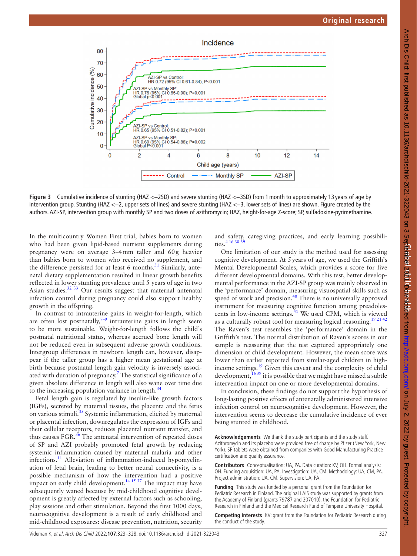

**Figure 3** Cumulative incidence of stunting (HAZ <−2SD) and severe stunting (HAZ <−3SD) from 1month to approximately 13 years of age by intervention group. Stunting (HAZ <−2, upper sets of lines) and severe stunting (HAZ <−3, lower sets of lines) are shown. Figure created by the authors. AZI-SP, intervention group with monthly SP and two doses of azithromycin; HAZ, height-for-age Z-score; SP, sulfadoxine-pyrimethamine.

In the multicountry Women First trial, babies born to women who had been given lipid-based nutrient supplements during pregnancy were on average 3–4mm taller and 60g heavier than babies born to women who received no supplement, and the difference persisted for at least 6 months. $31$  Similarly, antenatal dietary supplementation resulted in linear growth benefits reflected in lower stunting prevalence until 5 years of age in two Asian studies.[32 33](#page-5-22) Our results suggest that maternal antenatal infection control during pregnancy could also support healthy growth in the offspring.

In contrast to intrauterine gains in weight-for-length, which are often lost postnatally, $7-9$  intrauterine gains in length seem to be more sustainable. Weight-for-length follows the child's postnatal nutritional status, whereas accrued bone length will not be reduced even in subsequent adverse growth conditions. Intergroup differences in newborn length can, however, disappear if the taller group has a higher mean gestational age at birth because postnatal length gain velocity is inversely associ-ated with duration of pregnancy.<sup>[7](#page-5-4)</sup> The statistical significance of a given absolute difference in length will also wane over time due to the increasing population variance in length. $34$ 

Fetal length gain is regulated by insulin-like growth factors (IGFs), secreted by maternal tissues, the placenta and the fetus on various stimuli.<sup>[35](#page-5-24)</sup> Systemic inflammation, elicited by maternal or placental infection, downregulates the expression of IGFs and their cellular receptors, reduces placental nutrient transfer, and thus causes FGR. $36$  The antenatal intervention of repeated doses of SP and AZI probably promoted fetal growth by reducing systemic inflammation caused by maternal malaria and other infections.<sup>11</sup> Alleviation of inflammation-induced hypomyelination of fetal brain, leading to better neural connectivity, is a possible mechanism of how the intervention had a positive impact on early child development.<sup>14 15 37</sup> The impact may have subsequently waned because by mid-childhood cognitive development is greatly affected by external factors such as schooling, play sessions and other stimulation. Beyond the first 1000 days, neurocognitive development is a result of early childhood and mid-childhood exposures: disease prevention, nutrition, security

<span id="page-4-0"></span>and safety, caregiving practices, and early learning possibilities.<sup>4 16 38 3</sup>

One limitation of our study is the method used for assessing cognitive development. At 5years of age, we used the Griffith's Mental Developmental Scales, which provides a score for five different developmental domains. With this test, better developmental performance in the AZI-SP group was mainly observed in the 'performance' domain, measuring visuospatial skills such as speed of work and precision.<sup>40</sup> There is no universally approved instrument for measuring cognitive function among preadoles-cents in low-income settings.<sup>[41](#page-5-27)</sup> We used CPM, which is viewed as a culturally robust tool for measuring logical reasoning.<sup>19 21 42</sup> The Raven's test resembles the 'performance' domain in the Griffith's test. The normal distribution of Raven's scores in our sample is reassuring that the test captured appropriately one dimension of child development. However, the mean score was lower than earlier reported from similar-aged children in highincome settings.[19](#page-5-28) Given this caveat and the complexity of child development,  $1639$  it is possible that we might have missed a subtle intervention impact on one or more developmental domains.

In conclusion, these findings do not support the hypothesis of long-lasting positive effects of antenatally administered intensive infection control on neurocognitive development. However, the intervention seems to decrease the cumulative incidence of ever being stunted in childhood.

**Acknowledgements** We thank the study participants and the study staff. Azithromycin and its placebo were provided free of charge by Pfizer (New York, New York). SP tablets were obtained from companies with Good Manufacturing Practice certification and quality assurance.

**Contributors** Conceptualisation: UA, PA. Data curation: KV, OH. Formal analysis: OH. Funding acquisition: UA, PA. Investigation: UA, CM. Methodology: UA, CM, PA. Project administration: UA, CM. Supervision: UA, PA.

**Funding** This study was funded by a personal grant from the Foundation for Pediatric Research in Finland. The original LAIS study was supported by grants from the Academy of Finland (grants 79787 and 207010), the Foundation for Pediatric Research in Finland and the Medical Research Fund of Tampere University Hospital.

**Competing interests** KV: grant from the Foundation for Pediatric Research during the conduct of the study.